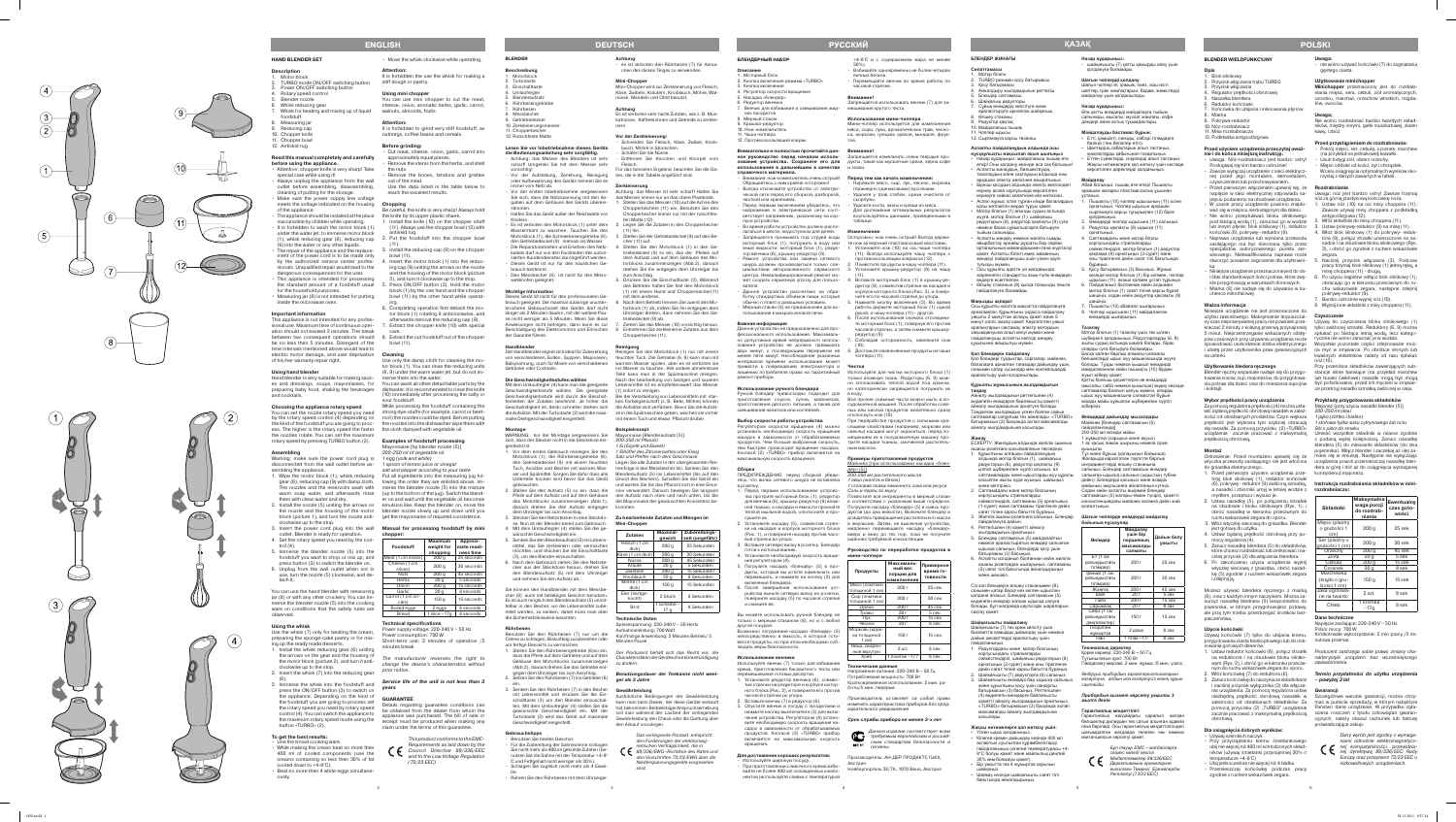- 1. Blok silnikowy
- 2. Przycisk włączania trybu TURBO 3. Przycisk włączania
- . Regulator prędkości obrotowe
- Nasadka blendera
- 6. Reduktor końcówki
- 7. Końcówka do ubijania i miksowania płynów 8. Miarka
- 9. Pokrywa-reduktor
- 10. Nóz-rozdrabniacz
- 11. Misa rozdrabniacza

# 12. Podkładka antypoślizgowa

#### **Przed użyciem urządzenia przeczytaj uważ -**

- **nie i do końca niniejszą instrukcję.** • Uwaga: Nóż-rozdrabniacz jest bardzo ostry! Posługiwaj się nim bardzo ostrożnie!
- Zawsze wyłączaj urządzenie z sieci elektrycznej przed jego montażem, demontażem, czyszczeniem lub przechowywaniem..
- Przed pierwszym włączeniem upewnij się, że pięciu podanemu na obudowie urządzenia.
- W czasie pracy urządzenie powinno znajdować się w miejscu niedostępnym dla dzieci. • Nie wolno przepłukiwać bloku silnikowego
- pod bieżącą wodą (1), zanurzać go w wodzie lub innym płynie: blok silnikowy (1), reduktor końcówki (6), pokrywę– reduktor (9).
- Naprawa urządzenia lub wymiana przewodu zasilającego ma być dokonana tylko przez specjalistów autoryzowanego punktu ser wisowego. Niekwalifikowana naprawa może stworzyć poważne zagrożenie dla użytkowni ka
- Niniejsze urządzenie przeznaczone jest do ob kle przygotowują w warunkach domowych.
- Miarka (8) nie nadaje się do używania w kuchence mikrofalowej.

## **Ważna informacja**

- 1. Przed pierwszym użyciem urządzenia przetrzyj blok silnikowy (1), reduktor końcówki a nasadki i zbiorniki umyj w letniej wodzie z **rozdrabniaczu:** mydłem, przepłucz i wysusz je.
- 2. Ustaw nasadkę (5), po połączeniu strzałek na obudowie i bloku silnikowym (Rys. 1), i obróć nasadkę w kierunku przeciwnym do ruchu wskazówek zegara do oporu.
- 3. Włóż wtyczkę sieciową do gniazdka. Blender jest gotowy do użytku.
- 4. Ustaw żądaną prędkość obrotową przy pomocy regulatora (4).
- 5. Zanurz nasadkę blendera (5) do składników, które chcesz rozdrabniać lub zmiksować i na ciśnij przycisk (3) dla włączenia blendera.
- 6. Po zakończeniu użycia urządzenia wyjmij wtyczkę sieciową z gniazdka, obróć nasad kę (5) zgodnie z ruchem wskazówek zegara i zdejmij ją.

Niniejsze urządzenie nie jest przeznaczone do użytku zawodowego. Maksymalnie dopuszczal - **Czyszczenie** ny czas nieprzerywalnej pracy nie powinien prze - Używaj do czyszczenia bloku silnikowego (1) kraczać 2 minuty z kolejną przerwą przynajmniej bylko zwilżonej szmatki. Reduktory (6, 9) można 5 minut. Nieprzestrzeganie wskazanych odstę - spłukać po bieżąca letnią wodą, lecz katego pów czasowych przy używaniu urządzenia może rycznie nie wolno zanurzać je w wodzie. na usterki.

#### **Użytkowanie bledera ręcznego**

Blender ręczny wspaniale nadaje się do przygo - stancje silnie barwiące (na przykład marchew towania sosów, zup, majonezów, do przygotowa - lub buraki ćwikłowe) nasadki mogą być mogą nia potraw dla dzieci oraz do mieszania napojów być pofarbowane, przed ich myciem w zmywar i koktajli.

#### **Wybor prędkości pracy urządzenia**

- 1. Ustaw reduktor końcówki (6), połącz strzałki Producent zastrzega sobie prawo zmiany chawym (Rys. 2), i obróć go w kierunku przeciw- zawiadomienia. nym do ruchu wskazówek zegara do oporu. Włóż końcówkę (7) do reduktora (6).
- 3. Zanurz końcówkę do naczynia ze składnikami  **powyżej 3 lat** i naciśnij przycisk wyłącznika (3) dla włączenia urządzenia. Za pomocą regulatora ustaw **Gwarancji**  obrotową.

Za pomocą regulatora prędkości(4) można usta wić żądaną prędkość obrotową nasadek w zależ- 200-250 ml oleju ności od obrabianych produktów. Czym większa 1 jajko (żółtko i białko) prędkość jest wybrana tym szybciej obracają się nasadki. Za pomocą przycisku (2) «TURBO» Sól o pierz do smaku urządzenie zacznie pracować z maksymalną prędkością obrotową.

- Przy przyrządzeniu kremu śmietankowego ubij nie więcej niż 400 ml schłodzonych skład ników (używaj śmietanki przynajmniej 30% o temperaturze +4-8°C)
- Ubij jednocześnie nie więcej niż 4 białka Przemieszczaj końcówkę podczas pracy zgodnie z ruchem wskazówek zegara.

#### **Montaż**

wtyczka przewody zasilającego nie jest włożona urządzenia powoli przemieszczaj nasadkę blen do gniazdka elektrycznego.

napięcie w sieci elektrycznej odpowiada na - Uwaga: nóż jest bardzo ostry! Zawsze trzymaj nóż za górną plastykową końcówkę noża.

Możesz używać blendera ręcznego z miarką (8), oraz z każdym innym naczyniem. Można za nurzyć nasadkę blednera (5) bezpośrednio do pojemnika, w którym przygotowujesz potrawy, ale przy tym trzeba przestrzegać środków bez pieczeństwa.

#### **Użycie końcówki**

Używaj końcówki (7) tylko do ubijania kremu, Krótkotrwałe wykorzystanie: 2 min pracy /5 mi przygotowania ciasta biszkoptowego lub do mik - nutowa przerwa sowania gotowych deserów.

spowodować uszkodzenie silnika elektrycznego Wszystkie pozostałe części zdejmowane moż i utratę przez użytkownika praw gwarancyjnych na myć w zmywarce. Po obróbce słonych lub kwaśnych składników należy od razu spłukać nóż (10).

**БЛЕНДЕР ЖИНАҒЫ Сипаттамасы**  .<br>Мотор блогы

#### **Dla osiągnięcia dobrych wyników:**

• Używaj szerokich naczyń.

Сұйық өнімдерді көпсітуге және араластыруға арналған шайқағыш

#### **Uwaga:**

nie wolno używać końcówki (7) do zagniatania gestego ciasta.

## **Użytkowanie minichopper**

**Minichopper** przeznaczony jest do rozdrab niania mięsa, sera, cebuli, ziół aromatycznych, czosnku, marchwi, orzechów włoskich, migda łów, owoców.

Ostrzeżenie: Przed montażem upewnij się że mieni się w emulsję. Następnie nie wyłączając Umieść wszystkie składniki w miarce zgodnie z podaną wyżej kolejnością. Zanurz nasadkę blendera (5) do mieszanki składników (do dna pojemnika). Włącz blender i zaczekaj aż olej za dera w górę i dół aż do osiągnięcia wymaganej konsystencji majonezu.

#### **Uwaga;**

Аспапты жөндеу немесе желілік сымды айырбастау арнайы рұқсаты бар сервис орталығының мамандарымен ғана жүргізілуі қажет. Аспапты білікті емес маманның жөндеуі пайдаланушы үшін үлкен қауіп

Осы құрылғы әдетте үй жағдайында әзірленетін стандартты азық-түлік өнімдерін

Nie wolno rozdrabniać bardzo twardych skład ników, między innymi, gałki muszkatowej, ziaren kawy, i zbóż.

Өлшеу стаканын (8) қысқа толқынды пеште

(6), pokrywę - reduktor (9) zwilżoną szmatką, **Instrukcja rozdrabniania składników w mini -**

#### **Przed przystąpieniem do rozdrabniania:**

- Pokrój mięso, ser, cebulę, czosnek, marchew (na przykład na jednakowe **)** kawałki.
- Usuń łodygi ziół, obierz orzechy. • Mięso oddziel od kości, żył i chrząstek.
- W celu osiągnięcia optymalnych wyników sko rzystaj z danych zawartych w tabeli.

## **Rozdrabnianie**

- 1. Ustaw nóż (10) na osi misy choppera (11). Zawsze używaj misy choppera z podkładką antypoślizgowa (12).
- . Włóż składniki do misy choppera (11). . Ustaw pokrywę-reduktor (9) na misę (11).
- 4. Włóż blok silnikowy (1) do pokrywy- reduktora (9), połącz strzałki umieszczone na na sadce i na obudowie bloku silnikowego (Rys. 3), i obróć go zgodnie z ruchem wskazówek zegara.
- 5. Naciśnij przycisk włączania (3). Podczas pracy trzymaj blok silnikowy (1) jedną ręką, a misę choppera (11) - drugą.
- róbki standardowych ilości potraw, które zwy 6. Po użyciu najpierw odłącz blok silnikowy (1), obracając go w kierunku przeciwnym do ru chu wskazówek zegara, następne zdejmij pokrywę-reduktor (9).
	- Bardzo ostrożnie wyjmij nóż (10). 8. Wyjmij inne składniki z misy choppera (11).

niezbędną prędkość obrotową nasadek w Szczegółowe warunki gwarancji, można otrzy zależności od obrabianych składników. Za mać w punkcie sprzeda ży, w którym nabyliście pomocą przycisku (2) "TURBO" urządzenie Państwo dane urządzenie. W przypadku zgłazacznie pracować z maksymalną prędkością szania roszczeń z tytułu zobowiązań gwaran cyjnych, należy okazać rachunek lub fakturę poświadczające zakup.



**Жақсы нәтижелерге қол жеткізу үшін:** • Үлкен ыдыс қолданыныз.

Кілегей кремін дайындау кезінде 400 мл аспайтын суытылған құрамбөліктерді пайдаланыңыз (кілегей температурасы +4- 8°С болуы қажет және майлылық деңгейі

Шайқау кезінде шайқағышты сағат тілі

Przy przeróbce składników zawierających sub ce przetrzyj nasadki szmatką zwilżonej w oleju.

#### **Przykłady przygotowania składników** Majonez [przy użyciu nasadki blender (5)]

1 stołowa łyżka soku cytrynowego lub octu

Пышақты (10) чоппер ыдысының (11) осіне онатыңыз. Чоппер ыдысын әрқашан сырғанауға қарсы тұғырықпен (12) бірге

Өнімдерді чоппер ыдысына (11) салыңыз. 3. Редуктор қақпақты (9) ыдысқа (11)

| <b>Składniki</b>                           | Maksymalna<br>waga porcji<br>do rozdrab-<br>niania | Ewentualny<br>czas goto-<br>wości |
|--------------------------------------------|----------------------------------------------------|-----------------------------------|
| Mięso (plastry<br>o grubości 1<br>cm)      | 200 <sub>g</sub>                                   | 25 sek                            |
| Ser (plastry o<br>grubości 1 cm)           | 200 <sub>q</sub>                                   | 30 sek                            |
| Orzechy                                    | 200 g                                              | 45 sek                            |
| Zioła                                      | 20 a                                               | 5 sek                             |
| Cebula                                     | 200 <sub>g</sub>                                   | 15 sek                            |
| Czosnek                                    | 20 <sub>g</sub>                                    | 8 sek                             |
| Marchewka<br>(krążki o gru-<br>bości 1 cm) | 150 <sub>q</sub>                                   | 15 sek                            |
| Jaka ugotowa-<br>ne na twardo              | 2 szt.                                             | 8 sek                             |
| Chleb                                      | 1 kromka<br>$\sim$ 17q                             | 8 sek                             |

йдаланғанда] 200-250 мл өсімдік майы 1 жұмыртқа (сарыуыз және ақуыз) 1 ас қасық лимон шырыны немесе сірке

#### **Dane techniczne**

Napięcie zasilające: 220-240 V ~ 50 Hz

Pobór mocy: 700 W

na reduktorze i na obudowie bloku silniko- rakterystyki urządzeń bez wcześniejszego

рімшік (1 см қалыңдықтағы тілімдер)

Жаңғақ

# **Termin przydatności do użytku urządzenia**

Dany wyrób jest zgodny z wymaga niami odnośnie elektromagnetycz nej kompatybilności, przewidzia -  $C$  nej dyrektywą 89/336/EEC Rady Europy oraz przepisem 73/23 EEC o nizkowoltowych urządzeniach.

3. Қосу батырмасы

Өлшеу стаканы Редуктор қақпақ 10. Майдалағыш пышан 11. Чоппер ыдысы 12. Сырғанауға қарсы төсеніш

**Аспапты пайдаланудың алдында осы нұсқаулықты жақсылап оқып шығыңыз** • Назар аударыңыз: майдалағыш пышақ өте өткір! Оны қолдану кезінде аса сақ болыңыз! **Аспапты жинаулын, бөлшектеулін**, тазалаудың және сақтаудың алдында оны әрқашан электр желісінен ажыратыңыз. .<br>• Бірінші қосудың алдында электр желісінде**і** кернеу аспап корпусында көрсетілген кернеуге сәйкес келетініне көз жеткізіңіз. • Аспап жұмыс істеп тұрған кезде балалардың қолы жетпейтін жерде тұруы қажет. Мотор блогын (1) ағынды судың астында жууға, мотор блогын (1), шайқағыш редукторын (6), редуктор қақпақты (9) суға немесе басқа сұйықтықтарға батыруға

тыйым салынады.

туғызуы мүмкін.

өңдеуге есептелген.

пайдалануға болмайды.

**Маңызды ақпарат**

Осы құрылғы кәсіптік мақсатта пайдалануға арналмаған. Құрылғыны үздіксіз пайдалану уақыты 2 минуттан аспауы қажет және 5 минут үзіліс жасау қажет. Көрсетілген уақыт аралықтарын сақтамау электр мотордың зақымдануына алып келуі мүмкін және пайдаланушы аспапты кепілді жөндеу құқығынан айырылуы мүмкін. **Қол блендерін пайдалану**

Қол блендері тұздықтар, сорпалар, майонез, балаларға арналған тағамдар дайындау үшін, сонымен қатар сусындар мен коктейльдерді

араластыру үшін қолданылады. **Құрылғы жұмысының жылдамдығын** 

**таңдау** 

5. Блендер саптамасы . Шайкағыш редукторы

. TURBO режимін қосу батырмась

Айналдыру жылдамдығын реттегіш

Айналу жылдамдығын реттегішпен (4) өңделетін өнімдерге байланысты қажетті айналу жылдамдығын орнатуға болады. Таңдалған жылдамдық үлкен болған сайын саптамалар соғұрлым тез айналады. «TURBO» батырмасын (2) басқанда аспап максималды

айналу жылдамдығына қосылады.

ное руководство перед началом исполь- Запрещается измельчать очень твердые про**зования устройства. Сохраните его для**  дукты, такие как мускатные орехи, зерна кофе и злаки.

> **Жинау** ЕСКЕРТУ: Жинаудың алдында желілік сымның ашасы розеткаға қосылмағанын тексеріңіз. 1. Құрылғыны алғашқы пайдаланудың алдында мотор блогын (1), шайқағыш редукторын (6), редуктор қақпақты (9) ылғал шүберекпен сүртіп алыңыз, ал саптамаларды және ыдыстарды жуу құралы қосылған жылы суда жуыңыз, шайыңыз

және кептіріңіз.

2. Саптамадағы және мотор блогының корпусындағы стрелкаларды

• Запрещается промывать под струей воды Осторожно: нож очень острый! Всегда держимоторный блок (1), погружать в воду или те нож за верхний пластмассовый хвостовик. 1. Установите нож (10) на ось чаши чоппера (11). Всегда используйте чашу чоппера с

- противоскользящим ковриком (12). 2. Поместите продукты в чашу чоппера (11). 3. Установите крышку-редуктор (9) на чашу
- жет создать серьезную угрозу для пользо 4. Вставьте моторный блок (1) в крышку-ре (11).
	- дуктор (9), совместив стрелки на насадке и корпусе моторного блока (Рис. 3), и повер ните его по часовой стрелке до упора.
	- 5. Нажмите кнопку включения (3). Во время работы держите моторный блок (1) одной рукой, а чашу чоппера (11) - другой.
	- 6. После использования сначала отсоедини те моторный блок (1), повернув его против часовой стрелки, а затем снимите крышку-
	- редуктор (9). 7. Соблюдая осторожность, извлеките нож (10).
	- ппера (11).

сәйкестендіріп, саптаманы (5) орнатыңыз (1-сурет) және саптаманы тірелгенге дейін сағат тіліне қарсы бағытта бұраңыз. 3. Желілік ашаны розеткаға салыңыз. Блендер

пайдалануға дайын. 4. Реттегішпен (4) қажетті айналу жылдамдығын орнатыңыз. 5. Блендер саптамасын (5) майдалайтын немесе араластыратын өнімдер салынған ыдысқа салыңыз, блендерді қосу үшін

батырманы (3) басыңыз.

6. Аспапты қолданып болғаннан кейін желілік ашаны розеткадан шығарыңыз, саптаманы (5) сағат тілі бағытында айналдырыңыз

және шешіңіз.

Сіз қол блендерін өлшеу стаканымен (8), сонымен қатар басқа кез келген ыдыспен қолдана аласыз. Блендер саптамасын (5) өңделетін өнімдер жатқан ыдысқа салуға болады, бұл жағдайда қауіпсіздік шараларын

сақтау қажет.

**Шайқағышты пайдалану**

Шайқағышты (7) тек крем көпсіту үшін, бисквиттік қамырды дайындау үшін немесе дайын десерттерді араластыру үшін

пайдаланыңыз.

1. Редуктордағы және мотор блогының корпусындағы стрелкаларды

Чеснок Морковь (круж

> сәйкестендіріп, шайқағыш редукторын (6) орнатыңыз (2-сурет) және оны тірелгенге дейін сағат тіліне қарсы бағытта бұраңыз. 2. Шайқағышты (7) редукторға (6) салыңыз. 3. Шайқағышты өнімдері бар ыдысқа салыңыз және құрылғыны қосу үшін сөндіргіш батырмасын (3) басыңыз. Реттегішпен (4) өңделетін өнімдерге байланысты қажетті айналу жылдамдығын орнатыңыз. «TURBO» батырмасын (2) басқанда аспап максималды айналу жылдамдығына

қосылады.

- **BLENDER Beschreibung**
- 1. Motorblock 2. Turbotaste
- 3. Einschalttaste
- **Umlaufregler** . Blenderaufsatz
- 6. Rührbesengetriebe . Rührbesen
- 8. Messbecher
- 9. Getriebedeckel 10. Zerkleinerungsmesser
- 11. Chopperbecher
- 12. Rutschfeste Matte

30% кем болмауы қажет). • Бір уақытта тек 4 жұмыртқа ақуызын

шайқаңыз.

бағытында айналдырыңыз.

**Назар аударыңыз:**

қолдануға болмайды. **Шағын чопперді қолдану**

sierten Kundendienstes durchgeführt werden. · Dieses Gerät ist nur für den häuslichen Ge-

• Den Messbecher (8) ist nicht für den Mikro-

Шағын чоппер ет, ірімшік, пияз, хош иісті шөптер, грек жаңғақтарын, бадам, жемістерді

майдалау үшін қолданылады.

**Назар аударыңыз:**

Өте қатты өнімдерді майдалауға тыйым салынады, мысалы: мускат жаңғағы, кофе дәндері және астық тұқымдастары. **Майдалауды бастамас бұрын:** • Етті, ірімшікті, пиязды, сәбізді тілімдерге

бөліңіз (тең бөліктер етіп). Шөптердің сабактарын алып тастаныз жаңғақтарды қабығынан тазартыңыз. Еттен сүйектерді, сіңірлерді алып тастаңыз. Жақсы нәтижелерге қол жеткізу үшін кестеде көрсетілген деректерді қолданыңыз.

шайқағышты (7) қатты қамырды илеу үшін

**Майдалау**

Абай болыңыз: пышақ өте өткір! Пышақты әрқашан жоғарғы пластмассалық ұшынан

ұстаңыз.

қолданыңыз.

орнатыңыз.

4. Саптамадағы және мотор блогы корпусындағы стрелкаларды

сәйкестендіріп, мотор блогын (1) редуктор қақпаққа (9) орнатыңыз (3-сурет) және оны тірелгенге дейін сағат тілі бағытында

бұраңыз.

5. Қосу батырмасын (3) басыңыз. Жұмыс кезінде мотор блогын (1) бір қолмен, чоппер ыдысын (11) екінші қолмен ұстап тұрыңыз. .<br>6. Пайдаланып болғаннан кейін алдыме мотор блогын (1) сағат тіліне қарсы бұрап шешіңіз, содан кейін редуктор қақпақты (9)

шешіңіз.

7. Пышақты (10) абайлап шығарыңыз. 8. Чоппер ыдысынан (11) майдаланған өнімдерді шығарыңыз.

**Тазалау** Мотор блогын (1) тазалау үшін тек ылғал шүберекті қолданыңыз. Редукторларды (6, 9) жылы судың астында шаюға болады, бірақ оларды суға батыруға болмайды. Басқа қалған барлық алмалы-салмалы бөлшектерді ыдыс жуу машинасында жууға болады. Тұзды немесе қышқыл өнімдерді майдалағаннан кейін пышақты (10) бірден

#### **Gebrauchstipps Benutzen Sie breites Geschirr.**

жуып жіберу қажет.

Қатты бояғыш қасиеттерге ие өнімдерді (мысалы, сәбіз немесе қызылша) өңдеу кезінде саптамалар боялып қалуы мүмкін, оларды ыдыс жуу машинасына салмастан бұрын өсімдік майы құйылған шүберекпен сүртіп

жіберіңіз.

**Өнімдерді дайындау мысалдары** Майонез [блендер саптамасын (5)

#### Schälen Sie die Nüsse. • Entfernen Sie Knochen und Knorpel vom

қышқылы

Тұз және бұрыш (қалауыңыз бойынша) Жоғарыда көрсетілген тәртіпте барлық ингредиенттерді өлшеу стаканына салыңыз. Блендер саптамасын өнімдер салынған ыдысқа салыңыз (ыдыстың түбін дейін). Блендерді қосыңыз және өсімдік майының эмульсияға айналғанын күтіңіз. Содан кейін аспапты өшірмей блендер саптамасын (5) жоғары-төмен түсіріп, қажетт консистенциядағы майонез алғанға дейін жай

қозғалтыңыз.

**Шағын чопперде өнімдерді майдалау** 

**бойынша нұсқаулар** 

**Өнімдер**

**Майдалау үшін бір порцияның**  аксималді **салмағы** 

200 г

200 г

**Дайын болу уақыты**

Ет (1 см қалыңдықтағы тілімдер)

г 25 сек

г 30 сек

г 45 сек

Шөп 20

г

5 сек

Пияз 200

г 15 сек

Сарымсақ 20

г

8 сек

Сәбіз (1 см қалыңдықтағы дөңгелектер)

150

г 15 сек

Пісірілген жұмыртқа

2 дана

8 сек

Нан 1 тілім ~17г 8 сек

**Техникалық деректер** Қорек кернеуі: 220-240 В ~ 50 Гц Тұтынылатын қуат: 700 Вт

Пайдалану мерзімі: 2 мин. жұмыс /5 мин. үзіліс. *Өндiрушi прибордың характеристикаларын өзгертуге, алдын ала ескертусiз өзiнiң құқын* 

Motorblock (1), die Rührbesengetriebe (6), Salz und Pfeffer nach dem Geschmack den Getriebedeckel (9) mit einem feuchten Legen Sie alle Zutaten in der obergenannten Rei - Tuch, Ansätze und Becher mit warmes Was - henfolge in den Messbecher hin. Senken Sie den ser und Spülmittel. Sorgen Sie dafür dass alle Blenderaufsatz (5) ins Lebensmittel (bis auf den Unterteile trocken sind bevor Sie das Gerät Grund des Bechers). Schalten Sie das Gerät ein und warten Sie bis das Pflanzöl sich in eine Emul -

*сақтайды* 

2. Stellen Sie den Aufsatz (5) so ein, dass die sion verwandelt. Danach bewegen Sie langsam Pfeile auf dem Aufsatz und auf dem Gehäuse den Aufsatz nach oben und nach unten, bis Sie des Motorblocks zusammenzeigen (Abb.1), die Mayonnaise der gewünschten Konsistenz be danach drehen Sie den Aufsatz entgegen kommen.

3. Stecken Sie den Netzstecker in eine Steckdo- Zu bearbeitende Zutaten und Mengen im

*Прибордын қызмет көрсету уақыты 3* 

*жылға дейiн*

**Гарантиялық мiндеттiлiгi**

Гарантиялық жағдайдағы қаралып жатқан .<br>бөлшектер дилерден тек сатып алынған адамға ғана берiледi. Осы гарантиялық мiндеттiлiгiндегi шағымдалған жағдайда төлеген чек немесе

kocht) **Brot** 

квитанциясын көрсетуi қажет.

# 1. Stellen Sie den Rührbesengetriebe (6)so ein, Der Produzent behält sich das Recht vor, die dass die Pfeile auf dem Getriebe und auf dem Charakteristiken der Geräte ohne Vorankündigung

*Бұл тауар ЕМС – жағдайларға сәйкес келедi негiзгi Мiндеттемелер 89/336/EEC Дерективаның ережелерiне енгiзiлген Төменгi Ережелердiң Реттелуi (73/23 EEC)*

**Қ а зақ**

5

**БЛЕНДЕРНЫЙ НАБОР**

# **Описание**

1. Моторный блок

- 2. Кнопка включения режима «TURBO» 3. Кнопка включения
- 4. Регулятор скорости вращения 5. Насадка «блендер»
- 6. Редуктор венчика
- 7. Венчик для взбивания и смешивания жид ких продуктов
- 8. Мерный стакан
- 9. Крышка-редуктор 10. Нож-измельчитель
- 11. Чаша чоппера
- 12. Противоскользящий коврик

**Description**  Motor block

# **Внимательно и полностью прочитайте дан - Внимание! использования в дальнейшем в качестве справочного материала.**

Always unplug the appliance from the wall outlet before assembling, disassembling, cleaning of putting for the storage. • Make sure the power supply line voltage meets the voltage indicated on the housing

The appliance should be installed at the place inaccessible by children while operating. • It is forbidden to wash the motor block (1) under the water jet, to immerse motor block (1), whisk reducing gear (6), reducing cap (9) into the water or any other liquids.

sionals. Unqualified repair would lead to the dangerous consequences for the user. This appliance is intended for processing

Measuring jar (8) is not intended for putting

- Внимание: нож-измельчитель очень острый! Обращайтесь с ним крайне осторожно! • Всегда отключайте устройство от электри ческой сети перед его сборкой, разборкой,
- чисткой или хранением. • Перед первым включением убедитесь, что напряжение в электрической сети соот ветствует напряжению, указанному на кор -
- пусе устройства. • Во время работы устройство должно распо лагаться в месте, недоступном для детей.
- иные жидкости: моторный блок (1), редук тор венчика (6), крышку-редуктор (9). • Ремонт устройства или замена сетевого шнура должны производиться только спе циалистами авторизованного сервисного
- центра. Неквалифицированный ремонт мо вателя. • Данное устройство рассчитано на обра ботку стандартных объемов пищи, которые
- обычно готовят в домашних условиях. • Мерный стакан (8) не предназначен для использования в микроволновой печи.

#### **Важная информация**

Данное устройство не предназначено для про фессионального использования. Максималь но допустимое время непрерывного исполь зования устройства не должно превышать двух минут, с последующим перерывом не 8. Достаньте измельченные продукты из чаши менее пяти минут. Несоблюдение указанных интервалов времени использования может привести к повреждению электромотора и **Чистка**  лению потребителя права на гарантийный ремонт прибора.

#### **Использование ручного блендера**

Ручной блендер превосходно подходит для в воду. приготовления соусов, супов, майонезов, Все прочие съемные части можно мыть в по приготовления детского питания, а также для судомоечной машине. После обработки соле смешивания напитков или коктейлей.

#### **Выбор скорости работы устройства**

Регулятором скорости вращения (4) можно сящими свойствами (например, моркови или установить необходимую скорость вращения свеклы) насадки могут окраситься, перед по насадок в зависимости от обрабатываемых мещением их в посудомоечную машину про продуктов. Чем больше выбранная скорость, трите насадки тканью, смоченной раститель тем быстрее происходит вращение насадок. ным маслом. Кнопкой (2) «TURBO» прибор включается на максимальную скорость вращения.

#### **Сборка**

ПРЕДУПРЕЖДЕНИЕ: перед сборкой убеди тесь, что вилка сетевого шнура не вставлена в розетку.

- 1. Перед первым использованием устройс тва протрите моторный блок (1), редуктор Поместите все ингредиенты в мерный стакан для венчика (6), крышку-редуктор (9) влаж - в соответствии с указанным выше порядком. ной тканью, а насадки и емкости промойте Погрузите насадку «блендер» (5) в смесь про теплой мыльной водой, ополосните и про - дуктов (до дна емкости). Включите блендер и сушите их. Соль и перец по вкусу
- 2. Установите насадку (5), совместив стрел в эмульсию. Затем, не выключая устройства, ки на насадке и корпусе моторного блока медленно перемещаете насадку «блендер» (Рис. 1), и поверните насадку против часо - вверх и вниз до тех пор, пока не получите вой стрелки до упора.
- 3. Вставьте сетевую вилку в розетку. Блендер готов к использованию. 4. Установите необходимую скорость враще -
- ния регулятором (4). 5. Погрузите насадку «блендер» (5) в про дукты, которые вы хотите измельчить или перемешать, и нажмите на кнопку (3) для
- включения блендера. 6. После завершения использования уст ройства выньте сетевую вилку из розетки поверните насадку (5) по часовой стрелке и снимите ее.

Hand blender is very suitable for making sauc-<br>merse them into the water. Use only the damp cloth for cleaning the mo tor block (1). You can rinse the reducing units (6, 9) under the warm water jet, but do not im -

#### Вы можете использовать ручной блендер не только с мерным стаканом (8), но и с любой другой посудой.

Возможно погружение насадки «блендер» (5) непосредственно в емкость, в которой гото вятся продукты, но при этом необходимо соб людать меры безопасности.

#### **Использование венчика**

- Используйте венчик (7) только для взбивания крема, приготовления бисквитного теста или перемешивания готовых десертов.
- 1. Установите редуктор венчика (6), совмес тив стрелки на редукторе и корпусе мотор ного блока (Рис. 2), и поверните его против
- часовой стрелки до упора. 2. Вставьте венчик (7) в редуктор (6). 3. Опустите венчик в посуду с продуктами и нажмите кнопку выключателя (3) для вклю чения устройства. Регулятором (4) устано вите необходимую скорость вращения на садок в зависимости от обрабатываемых продуктов. Кнопкой (2) «TURBO» прибор включается на максимальную скорость

вращения.

# **Для достижения хороших результатов:**

• Используйте широкую посуду. • При приготовлении сливочного крема взбивайте не более 400 мл охлажденных компо -

нентов (используйте сливки с температурой

# **РУССКИ**

- +4-8°С и с содержанием жира не менее 30%). • Взбивайте одновременно не более четырех
- яичных белков. • Перемещайте венчик во время работы по

часовой стрелке.

#### **Внимание!**

Запрещается использовать венчик (7) для за мешивания крутого теста.

#### **Использование мини-чоппера**

Мини-чоппер используется для измельчения мяса, сыра, лука, ароматических трав, чесно ка, моркови, грецких орехов, миндаля, фрук тов.

#### **Перед тем как начать измельчение:**

- Нарежьте мясо, сыр, лук, чеснок, морковь (прио одинаковыми) кусочкам • Удалите у трав стебли, орехи очистите от
- скорлупы. • Удалите кости, жилы и хрящи из мяса. Для достижения оптимальных результатов
- воспользуйтесь данными, приведенными в таблице.

#### **Измельчени**

# Используйте для чистки моторного блока (1)

#### **BLENDER WIELOFUNKCYJNY**

только влажную ткань. Редукторы (6, 9) мож но ополаскивать теплой водой под краном, но категорически запрещается погружать их

ных или кислых продуктов желательно сразу

ополоснуть нож (10).

При переработке продуктов с сильными кра -

**Примеры приготовления продуктов** Майонез [при использовании насадки «блен -

дер» (5)]

200-250 мл растительного масла 1 яйцо (желток и белок)

1 столовая ложка лимонного сока или уксуса

дождитесь превращения растительного масла

майонез требуемой консистенции.

**Руководство по переработке продуктов в** 

**мини-чоппере**

**Продукты**

**Максималь**

**-**

**ный вес порции для измельчения**

тясо (ломтики | 200 г | 25 сек.<br>элимной 1 см) | 200 г | 25 сек

сыр (ломтики <sub>)</sub> 200 г досек.<br>олщиной 1 см) **дос** Орехи | 200 г | 45 сек. Травы | 20 г | 5 сек. Лук | 200 г | 15 сек.

 $2 \mu$ т. Хлеб 1 ломтик ~17 г | 8 сек.

**Примерное время го товности**

Мясо (ломтики

Сыр (ломтики

-

ки толщиной 1 см)

150 г 15 сек.

Яйца, сварен

-

ные вкрутую

**Технические данные**

Напряжение питания: 220-240 В ~ 50 Гц Потребляемая мощность: 700 Вт

Кратковременное использование: 2 мин. ра -

боты/5 мин. перерыв

Производитель оставляет за собой право изменять характеристики приборов без пред -

варительного уведомления

**Срок службы прибора не менее 3-х лет**

Данное изделие соответствует всем требуемым европейским и россий ским стандартам безопасности и

гигиены.

Производитель: АН-ДЕР ПРОДАКТС ГмбХ,

Австрия

 $\mathbf C$ ME<sub>6</sub>

Нойбаугюртель 38/7А, 1070 Вена, Австрия

4

#### **Lesen Sie vor Inbetriebnahme dieses Geräts die Bedienungsanleitung sehr sorgfältig.** • Achtung: das Messer des Blenders ist sehr

- scharf! Umgehen Sie mit dem Messer sehr vorsichtig! Vor der Aufstellung, Zerlehung, Reinigung
- oder Aufbewahrung des Geräts trennen Sie es immer vom Netz ab.
- gaben auf dem Gehäuse des Geräts überein stimmen.
- Halten Sie das Gerät außer der Reichweite von Kindern.
- Es ist verboten den Motorblock (1) unter dem 2. Legen Sie die Zutaten in den Chopperbecher Wasserstrahl zu waschen. Tauchen Sie den Motorblock (1), die Schneebesengetriebe (6), 3. Stellen Sie der Getriebedeckel (9) auf den Beden Getriebedeckel (9) niemals ins Wasser.

brauch bestimmt.

wellenofen geeignet. **Wichtige Information**

Dieses Gerät ist nicht für den professionelen Ge -

der Garantie führen. **Handblender**

Getränke oder Cocktails.

**Die Geschwindigkeitsstufen wählen**

malle Drehgeschwindigkeit eingestellt.

em Uhrzeiger bis zum Anschlag.

**Montage**

gesteckt ist.

gebrauchen.

wünschte Geschwindigkeit ein.

se. Nun ist der Blender bereit zum Gebrauch. **Mini-Chopper** 4. Mit dem Umlaufregler (4) stellen Sie die ge-5. Senken Sie den Blenderaufsatz (5) ins Lebensmittel, das Sie zerkleinern oder vermischen möchten, und drücken Sie die Einschalttaste 6. Nach dem Gebrauch ziehen Sie den Netzstecker aus der Steckdose heraus, drehen Sie

(3), um den Blender einzuschalten.

und nehmen Sie den Aufsatz ab.

-

den Blenderaufsatz (5) mit dem Uhrzeiger Sie können den Handblender mit dem Messbe cher (8) auch mit beliebiges Geschirr benutzen. Es ist auch möglich den Blenderaufsatz (5) unmit telbar in den Becher, wo die Lebensmittel zube reitet werden, zu senken, dabei muss man aber

- • Vor der ersten Inbetriebnahme vergewissern Achtung: das Messer ist sehr scharf! Halten Sie Sie sich, dass die Netzspannung mit den An - das Messer immer nur an das obere Plastende. . Stellen Sie das Messer (10) auf die Achse des Chopperbechers (11) ein. Benutzen Sie den Chopperbecher immer nur mit der rutschfes -
	-
	- (11) hin.
- Die Reparaturarbeiten und Ersetzen des Netzkabels darf nur von den Fachleuten des autori cher (11) auf. 4. Stellen Sie den Motorblock (1) in den Ge
	- triebedeckel (9) so ein, das die Pfeilen auf dem Aufsatz und auf dem Gehäuse des Mo torblocks zusammenzeigen (Abb.3), danach drehen Sie ihn entgegen dem Uhrzeiger bis zum Anschlag. 5. Drücken Sie die Einschalttaste (3). Während
	- des Betriebs halten Sie fest den Motorblock (1) mit einem Hand und Chopperbecher(11) mit dem anderen.
- brauch geeignet. Die maximal zulässige ununter brochene Gebrauchszeit des Geräts darf nicht länger als 2 Minuten dauern, mit der weitere Pau se nicht weniger als 5 Minuten. Wenn Sie diese 6. Nach dem Betrieb trennen Sie zuerst den Motorblock (1) ab, indem Sie ihn entgegen dem Uhrzeiger drehen, dann nehmen Sie den Ge triebedeckel (9) ab.
- Anweisungen nicht befolgen, dann kann es zur Beschädigung des Elektromotors und Erlöschen  $8.$  Entnehmen Sie zerkleinerne Zutaten aus dem . Ziehen Sie das Messer (10) vorsichtig heraus. Chopperbecher (11).

die Sicherheitshinweise beachten.

**Rührbesen**

um fertige Desserts zu vermischen. Gehäuse des Motorblocks zusammenzeigen zu ändern. (Abb.2), danach drehen Sie das Getriebe ent -

gegen dem Uhrzeiger bis zum Anschlag. 2. Setzen Sie den Rührbesen (7) ins Getriebe (6) Seizen Sie den Runnbesen (7) ins Getriebe (6) **ger als 3 Jahre**<br>ein. 3. Senken Sie den Rührbesen (7) in den Becher

Der Handblender eignet sich ideal für Zubereitung Reinigen Sie den Motorblock (1) nur mit einem von verschiedenen Soßen, Suppen, Majonäsen, feuchten Tuch. Die Getriebe (6, 9) kann man mit Babynahrung, auch für Mixen von verschiedenen warmen Wasser spülen, aber es ist verboten sie Mit dem Umlaufregler (4) kann man die geeignete Lebensmittel ist es empfehlenswert das Messer Geschwindigkeitsstufe wählen. Die geeignete (1) sofort zu reinigen. Geschwindigkeitsstufe wird durch die Beschaf - Bei der Verarbeitung von Lebensmitteln mit star ins Wasser zu tauchen. Alle andere abnehmbare Teile kann man in der Spülmaschine reinigen. Nach der bearbeitung von salzigen und saueren

mit Lebensmittel und drücken Sie die Ein - **Gewährleistung**  Geschwindigkeit eingestellt.

- • Für die Zubereitung der Sahnecreme schlagen
- 
- C und Fettgehalt nicht weniger als 30%). • Schlagen Sie zugleich nicht mehr als 4 Eiweiße.
- 

fenheiten der Zutaten bestimmt. Je höher die ken Farbeigenschaft (z. B. Bete, Möhre) können Geschwindigkeit ist, desto schneller drehen sich die Aufsätze sich verfärben. Bevor Sie die Aufsätdie Aufsätze. Mit der Turbotaste (2) wird die maxi - ze in die Spülmaschine geben, wischen sie vorher mit einem Tuch und etwas Pflanzöl drüber.

disconnected from the wall outlet before as- 1 spoon of lemon juice or vinegar

- Sie nicht mehr als 400 ml gekühlte Zutaten (be nutzen Sie die Sahne mit der Temperatur +4-8º
- • Rühren Sie den Rührbesen mit dem Uhrzeiger.

foodstuff you want to chop or mix up, and press button (3) to switch the blender on. 6. Unplug from the wall outlet when not in use, turn the nozzle (5) clockwise, and de - You can use the hand blender with measuring

WARNUNG: Vor der Montage vergewissern Sie Mayonnaise [Blenderaufsatz (5)] sich, dass der Stecker nicht in die Steckdose ein- 200-250 ml Pflanzöl 1 Ei (Eigelb und Eiweiß)

#### 1. Vor dem ersten Gebrauch reiniegen Sie den 1 Eßlöffel des Zitronensaftes oder Essig

#### **Achtung** : - es ist verboten den Rührbesen (7) für Anmachen des dicken Teiges zu verwenden.

#### **Mini-Chopper**

Mini-Chopper wird zur Zerkleinerung von Fleisch, Käse, Zwibeln, Kräutern, Knoblauch, Möhre, Wal nüsse, Mandeln und Obst benutzt.

#### **Achtung** :

Es ist verboten sehr harte Zutaten, wie z. B. Mus katnüsse, Kaffeebohnen und Getreide zu zerklei nern.

## **Vor der Zerkleinerung:**

• Schneiden Sie Fleisch, Käse, Zwibel, Knob lauch, Möhre in Stückchen.

Fleisch. Für das besseres Ergebnis beachten Sie die Da ten, die in der Tabelle angeführt sind.

#### **Zerkleinerur**

ten Matte (12).

Benutzen Sie den Rührbesen (7) nur um die Kurzfristige Anwendung: 2 Minuten Betrieb/ 5 Speisespannung: 220-240 V ~ 50 Hertz Aufnahmeleistung: 700 Watt

Creme zu schlagen, Biskuitteig zuzubereiten oder Minuten Pause

schalttaste (3) um den Blender einzuschal - kann man beim Dealer, der diese Geräte verkauft ten. Mit dem Umlaufregler (4) stellen Sie die hat,bekommen.BeibeliebigerAnspruchserhebung gewünschte Geschwindigkeit ein. Mit der soll man während der Laufzeit der vorliegenden Turbotaste (2) wird das Gerät auf maximale Gewährleistung den Check oder die Quittung über Ausführliche Bedingungen der Gewährleistung den Ankauf vorzulegen.

#### **Reinigung**

#### **Beispielrezept**

**Zutaten Maximal - Zubereitungs**

**gewich zeit (ungefähr)**

8 Sekunde

**-**

Fleisch (1 cm

dick) <sup>200</sup> g 25 Sekunden Käse (1 cm dick) | 200 g | 30 Sekunden Nüsse | 200 g | 45 Sekunden Kräute 20 g 5 Sekunden Zwiebeln 200 g 15 Sekunden Knoblauch 20 g 8 Sekunden

dick) 150 g 15 Sekunden Eier (hartge- | 2 Stück | 8 Sekunden

Möhre (1 cm

1 Scheibe ~ 17 g

# **Technische Daten**

**Benutzungsdauer der Teekanne nicht weni -**

#### Das vorliegende Produkt entspricht den Forderungen der elektromag -

netischen Verträglichkeit, die in 89/336/EWG -Richtlinie des Rates und den Vorschriften 73/23/EWG über die Niederspannungsgeräte vorgesehen sind.

# **DEUTSCH**

3

**hand BLENDER SET**

foodstuff 8. Measuring ja 9. Reducing cap 10. Chopper knife 11. Chopper bowl 12. Antiskid rug

Rotary speed control 5. Blender nozzle Whisk reducing gear

**Read this manual completely and carefully** 

Attention: chopper knife is very sharp! Take

**before using the appliance.**

special care while using it!

of the appliance.

TURBO mode ON/OFF switching button Power ON/OFF switching button

Whisk for beating and mixing up of liquid

ment of the power cord is to be made only

for the household purposes.

inside the microwave oven.

**Important information**

This appliance is not intended for any profes -

ation should not exceed 2 minutes. The break between two consequent operations should be no less then 5 minutes. Disregard of the time intervals mentioned above would lead to electric motor damage, and user deprivation

of his/her warranty repair right.

**Using hand blender**

and cocktails.

**Choosing the appliance rotary speed**

the nozzles rotate. You can set the maximum rotary speed by pressing TURBO button (2).

**Assembling**

sembling the appliance.

them with clean water and dry.

clockwise up to the stop.

outlet. Blender is ready for operation. 4. Set the rotary speed you need by the con -

5. Immerse the blender nozzle (5) into the

trol (4).

tach it.

jar (8) or with any other crockery. You can im merse the blender nozzle (5) into the cooking ware on conditions that the safety rules are observed.

#### **Using the whisk**

- The repair of the appliance and the replace 3. Install the reducing cap (9) on the chopper 2. Put the foodstuff into the chopper bowl (11).
- by the authorized service center profes- 4. Insert the motor block (1) into the reducbowl (11) ing cap (9) uniting the arrows on the nozzle and the housing of the motor block (picture
- the standard amount of a foodstuff usual 5. Press ON/OFF button (3). Hold the motor 3), and turn it clockwise up to the stop. block (1) by the one hand and the chopper bowl (11) by the other hand while operat ing.
- sional use. Maximum time of continuous oper 7. Extract the chopper knife (10) with special 6. Completing operation first detach the mo tor block (1) rotating it anticlockwise, and afterwards remove the reducing cap (9).
	- care. 8. Extract the cut foodstuff out of the chopper bowl (11).

Use the whisk (7) only for beating the cream, preparing the sponge-cake pastry or for mix ing up the ready made desserts.

- 1. Install the whisk reducing gear (6) uniting the motor block (picture 2), and turn it anti -
- 2. Insert the whisk (7) into the reducing gear (6).
- press the ON/OFF button (3) to switch on the appliance. Depending on the kind of the foodstuff you are going to process set control (4). You can switch the appliance to the maximum rotary speed mode using the button «TURBO» (2).

es and dressings, soups, mayonnaises, for You can wash all other detachable parts by the preparing baby food, shaking the beverages dishwater. It is recommended to rinse the knife (10) immediately after processing the salty or sour foodstuff.

#### **To get the best results:** • Use the broad cooking ware.

You can set the nozzle rotary speed you need strong dye-stuffs (for example, carrot or beet by the rotary speed control (4) depending on root) the nozzles could be dyed. Before putting the kind of the foodstuff you are going to proc - the nozzles into the dishwasher wipe them with ess. The higher is the rotary speed the faster the cloth damped with vegetable oil. While processing the foodstuff containing the

• While making the cream beat no more then 400 ml of cooled components (use the creams containing no less then 30% of fat cooled down to +4-8°С). -



#### • Move the whisk clockwise while operating.

**Attention:**

It is forbidden the use the whisk for making a

stiff dough or pastry. **Using mini chopper**

You can use mini chopper to cut the meat, cheese, onion, aromatic herbs, garlic, carrot,

walnuts, almonds, fruits.

**Attention:**

It is forbidden to grind very stiff foodstuff, as nutmegs, coffee beans and cereals.

1. Wipe the motor block (1), whisk reducing Put all ingredients into the measuring jug fol gear (6), reducing cap (9) with damp cloth. lowing the order they are enlisted above. Im - The nozzles and the reservoirs wash with merse the blender nozzle (5) into the mixture warm soap water, and afterwards rinse (up to the bottom of the jug). Switch the blend - 2. Install the nozzle (5) uniting the arrows on emulsion like. Keep the blender on, move the the nozzle and the housing of the motor blender nozzle slowly up and down until you block (picture 1), and turn the nozzle anti - get the mayonnaise of required consistence. salt and pepper according to your taste er on and wait until the vegetable oil becomes

**Before grinding:**

• Cut meat, cheese, onion, garlic, carrot into

approximately equal pieces.

• Remove the stems from the herbs, and shell

Remove the bones, tendons and gristles

out of the meat.

Use the data listed in the table below to

#### 3. Insert the power cord plug into the wall **Manual for processing foodstuff by mini**

reach the excellent results.

**Chopping**

Be careful, the knife is very sharp! Always hold

the knife by its upper plastic shank.

1. Install the knife (10) on the chopper shaft (11). Always use the chopper bowl (12) with

antiskid rug.

the nuts

3. Immerse the whisk into the foodstuff and **Service life of the unit is not less than 3** 

the rotary speed you need by rotary speed Details regarding guarantee conditions can

## **Cleaning**

#### **Examples of foodstuff processing** Mayonnaise [by blender nozzle (5)]

200-250 ml of vegetable oil

Warning: make sure the power cord plug is 1 egg (yolk and white)

# **chopper:**

| <b>Foodstuff</b>           | <b>Maximum</b><br>weight for<br>chopping | Approxi-<br>mate readi-<br>ness time |
|----------------------------|------------------------------------------|--------------------------------------|
| Meat (1 cm slices)         | 200 <sub>q</sub>                         | 25 seconds                           |
| Cheese (1 cm<br>slices)    | 200 <sub>q</sub>                         | 30 seconds                           |
| <b>Nuts</b>                | 200 <sub>q</sub>                         | 45 seconds                           |
| Herbs                      | 20 <sub>q</sub>                          | 5 seconds                            |
| Onion                      | 200 <sub>q</sub>                         | 15 seconds                           |
| Garlic                     | 20 <sub>q</sub>                          | 8 seconds                            |
| Carrot (1 cm cir-<br>cles) | 150 <sub>q</sub>                         | 15 seconds                           |
| Boiled eggs                | 2 eggs                                   | 8 seconds                            |
| <b>Bread</b>               | 1 slice $\sim$ 17 $\alpha$               | 8 seconds                            |

**Technical specifications**

## Power supply voltage: 220-240 V ~ 50 Hz

# Power consumption: 700 W

Short-term use: 2 minutes of operation /5

the arrows on the gear and the housing of The manufacturer reserves the right to demotor block (picture 2), and turnit and the device device's characteristics without clockwise up to the stop.

minutes break



**years**

**Guarantee**

be obtained from the dealer from whom the appliance was purchased. The bill of sale or receipt must be produced when making any claim under the terms of this guarantee.

This product conforms to the EMC-



(73/23 EEC)









# **E NGLIS**

2